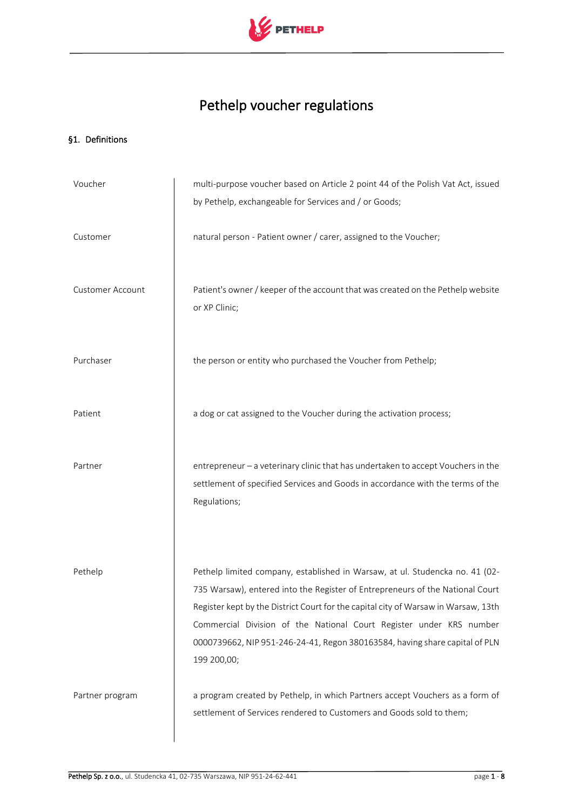

# Pethelp voucher regulations

## §1. Definitions

| Voucher          | multi-purpose voucher based on Article 2 point 44 of the Polish Vat Act, issued                                                                                                                                                                                                                                                                                                                                          |
|------------------|--------------------------------------------------------------------------------------------------------------------------------------------------------------------------------------------------------------------------------------------------------------------------------------------------------------------------------------------------------------------------------------------------------------------------|
|                  | by Pethelp, exchangeable for Services and / or Goods;                                                                                                                                                                                                                                                                                                                                                                    |
| Customer         | natural person - Patient owner / carer, assigned to the Voucher;                                                                                                                                                                                                                                                                                                                                                         |
| Customer Account | Patient's owner / keeper of the account that was created on the Pethelp website<br>or XP Clinic;                                                                                                                                                                                                                                                                                                                         |
| Purchaser        | the person or entity who purchased the Voucher from Pethelp;                                                                                                                                                                                                                                                                                                                                                             |
| Patient          | a dog or cat assigned to the Voucher during the activation process;                                                                                                                                                                                                                                                                                                                                                      |
| Partner          | entrepreneur - a veterinary clinic that has undertaken to accept Vouchers in the<br>settlement of specified Services and Goods in accordance with the terms of the<br>Regulations;                                                                                                                                                                                                                                       |
| Pethelp          | Pethelp limited company, established in Warsaw, at ul. Studencka no. 41 (02-<br>735 Warsaw), entered into the Register of Entrepreneurs of the National Court<br>Register kept by the District Court for the capital city of Warsaw in Warsaw, 13th<br>Commercial Division of the National Court Register under KRS number<br>0000739662, NIP 951-246-24-41, Regon 380163584, having share capital of PLN<br>199 200,00; |
| Partner program  | a program created by Pethelp, in which Partners accept Vouchers as a form of<br>settlement of Services rendered to Customers and Goods sold to them;                                                                                                                                                                                                                                                                     |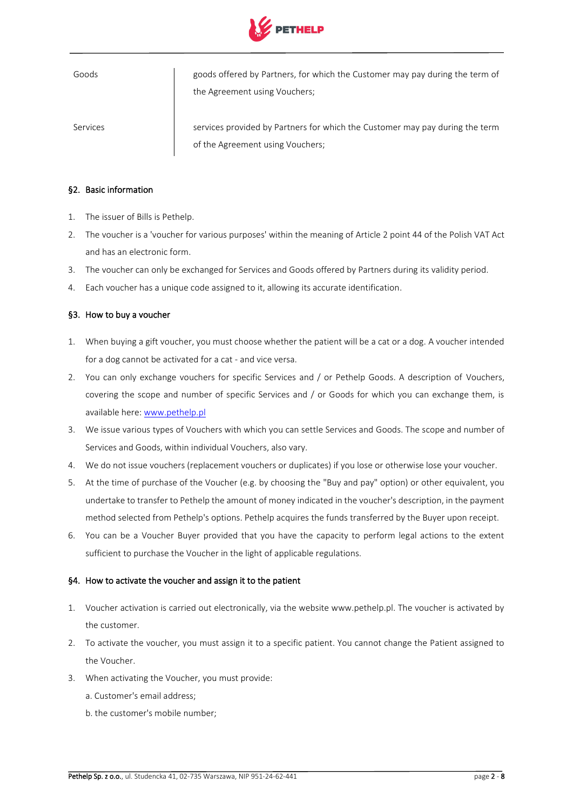

| Goods    | goods offered by Partners, for which the Customer may pay during the term of |
|----------|------------------------------------------------------------------------------|
|          | the Agreement using Vouchers;                                                |
|          |                                                                              |
| Services | services provided by Partners for which the Customer may pay during the term |

of the Agreement using Vouchers;

§2. Basic information

- 1. The issuer of Bills is Pethelp.
- 2. The voucher is a 'voucher for various purposes' within the meaning of Article 2 point 44 of the Polish VAT Act and has an electronic form.
- 3. The voucher can only be exchanged for Services and Goods offered by Partners during its validity period.
- 4. Each voucher has a unique code assigned to it, allowing its accurate identification.

### §3. How to buy a voucher

- 1. When buying a gift voucher, you must choose whether the patient will be a cat or a dog. A voucher intended for a dog cannot be activated for a cat - and vice versa.
- 2. You can only exchange vouchers for specific Services and / or Pethelp Goods. A description of Vouchers, covering the scope and number of specific Services and / or Goods for which you can exchange them, is available here: [www.pethelp.pl](http://www.pethelp.pl/)
- 3. We issue various types of Vouchers with which you can settle Services and Goods. The scope and number of Services and Goods, within individual Vouchers, also vary.
- 4. We do not issue vouchers (replacement vouchers or duplicates) if you lose or otherwise lose your voucher.
- 5. At the time of purchase of the Voucher (e.g. by choosing the "Buy and pay" option) or other equivalent, you undertake to transfer to Pethelp the amount of money indicated in the voucher's description, in the payment method selected from Pethelp's options. Pethelp acquires the funds transferred by the Buyer upon receipt.
- 6. You can be a Voucher Buyer provided that you have the capacity to perform legal actions to the extent sufficient to purchase the Voucher in the light of applicable regulations.

#### §4. How to activate the voucher and assign it to the patient

- 1. Voucher activation is carried out electronically, via the website www.pethelp.pl. The voucher is activated by the customer.
- 2. To activate the voucher, you must assign it to a specific patient. You cannot change the Patient assigned to the Voucher.
- 3. When activating the Voucher, you must provide:
	- a. Customer's email address;
	- b. the customer's mobile number;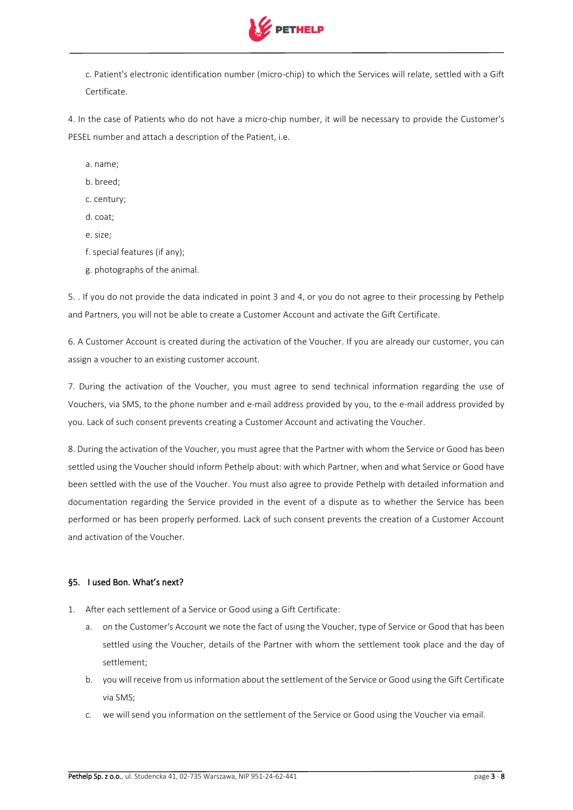

c. Patient's electronic identification number (micro-chip) to which the Services will relate, settled with a Gift Certificate.

4. In the case of Patients who do not have a micro-chip number, it will be necessary to provide the Customer's PESEL number and attach a description of the Patient, i.e.

a. name;

b. breed;

c. century;

d. coat;

e. size;

f. special features (if any);

g. photographs of the animal.

5. . If you do not provide the data indicated in point 3 and 4, or you do not agree to their processing by Pethelp and Partners, you will not be able to create a Customer Account and activate the Gift Certificate.

6. A Customer Account is created during the activation of the Voucher. If you are already our customer, you can assign a voucher to an existing customer account.

7. During the activation of the Voucher, you must agree to send technical information regarding the use of Vouchers, via SMS, to the phone number and e-mail address provided by you, to the e-mail address provided by you. Lack of such consent prevents creating a Customer Account and activating the Voucher.

8. During the activation of the Voucher, you must agree that the Partner with whom the Service or Good has been settled using the Voucher should inform Pethelp about: with which Partner, when and what Service or Good have been settled with the use of the Voucher. You must also agree to provide Pethelp with detailed information and documentation regarding the Service provided in the event of a dispute as to whether the Service has been performed or has been properly performed. Lack of such consent prevents the creation of a Customer Account and activation of the Voucher.

## §5. I used Bon. What's next?

- 1. After each settlement of a Service or Good using a Gift Certificate:
	- a. on the Customer's Account we note the fact of using the Voucher, type of Service or Good that has been settled using the Voucher, details of the Partner with whom the settlement took place and the day of settlement;
	- b. you will receive from us information about the settlement of the Service or Good using the Gift Certificate via SMS;
	- c. we will send you information on the settlement of the Service or Good using the Voucher via email.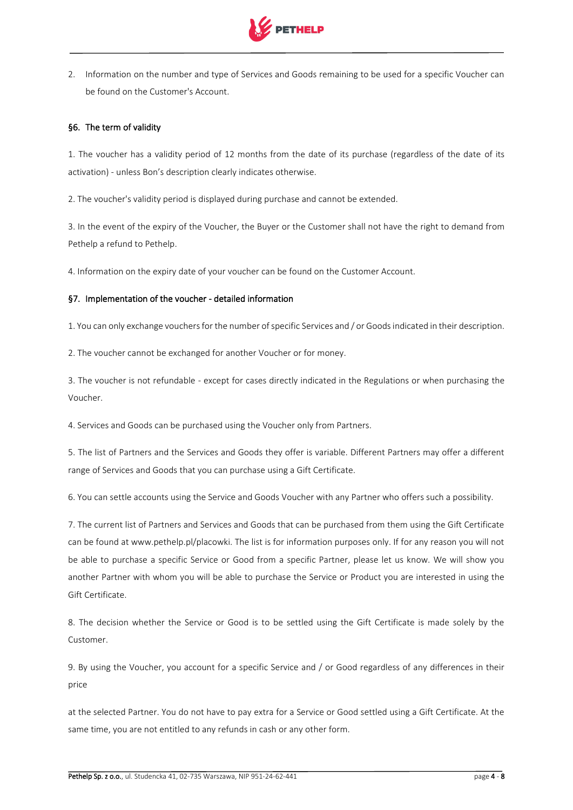

2. Information on the number and type of Services and Goods remaining to be used for a specific Voucher can be found on the Customer's Account.

## §6. The term of validity

1. The voucher has a validity period of 12 months from the date of its purchase (regardless of the date of its activation) - unless Bon's description clearly indicates otherwise.

2. The voucher's validity period is displayed during purchase and cannot be extended.

3. In the event of the expiry of the Voucher, the Buyer or the Customer shall not have the right to demand from Pethelp a refund to Pethelp.

4. Information on the expiry date of your voucher can be found on the Customer Account.

## §7. Implementation of the voucher - detailed information

1. You can only exchange vouchers for the number of specific Services and / or Goods indicated in their description.

2. The voucher cannot be exchanged for another Voucher or for money.

3. The voucher is not refundable - except for cases directly indicated in the Regulations or when purchasing the Voucher.

4. Services and Goods can be purchased using the Voucher only from Partners.

5. The list of Partners and the Services and Goods they offer is variable. Different Partners may offer a different range of Services and Goods that you can purchase using a Gift Certificate.

6. You can settle accounts using the Service and Goods Voucher with any Partner who offers such a possibility.

7. The current list of Partners and Services and Goods that can be purchased from them using the Gift Certificate can be found at www.pethelp.pl/placowki. The list is for information purposes only. If for any reason you will not be able to purchase a specific Service or Good from a specific Partner, please let us know. We will show you another Partner with whom you will be able to purchase the Service or Product you are interested in using the Gift Certificate.

8. The decision whether the Service or Good is to be settled using the Gift Certificate is made solely by the Customer.

9. By using the Voucher, you account for a specific Service and / or Good regardless of any differences in their price

at the selected Partner. You do not have to pay extra for a Service or Good settled using a Gift Certificate. At the same time, you are not entitled to any refunds in cash or any other form.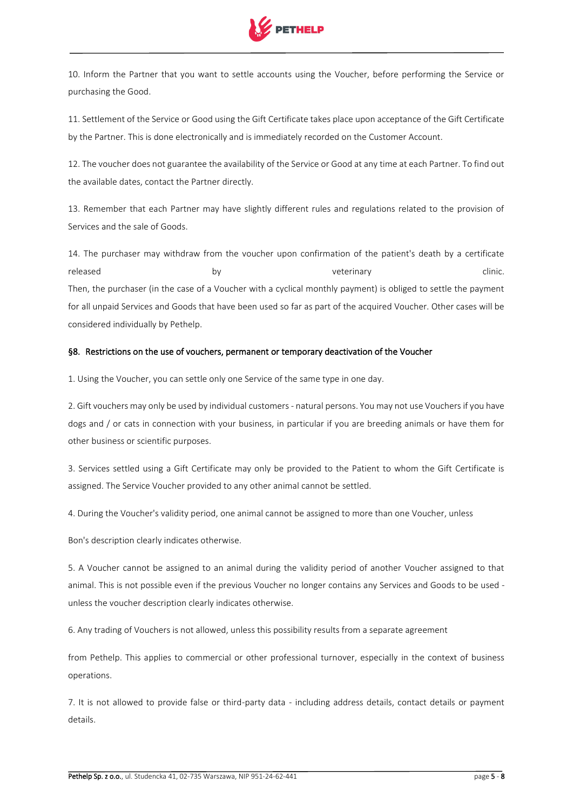

10. Inform the Partner that you want to settle accounts using the Voucher, before performing the Service or purchasing the Good.

11. Settlement of the Service or Good using the Gift Certificate takes place upon acceptance of the Gift Certificate by the Partner. This is done electronically and is immediately recorded on the Customer Account.

12. The voucher does not guarantee the availability of the Service or Good at any time at each Partner. To find out the available dates, contact the Partner directly.

13. Remember that each Partner may have slightly different rules and regulations related to the provision of Services and the sale of Goods.

14. The purchaser may withdraw from the voucher upon confirmation of the patient's death by a certificate released by veterinary clinic. Then, the purchaser (in the case of a Voucher with a cyclical monthly payment) is obliged to settle the payment for all unpaid Services and Goods that have been used so far as part of the acquired Voucher. Other cases will be considered individually by Pethelp.

# §8. Restrictions on the use of vouchers, permanent or temporary deactivation of the Voucher

1. Using the Voucher, you can settle only one Service of the same type in one day.

2. Gift vouchers may only be used by individual customers - natural persons. You may not use Vouchers if you have dogs and / or cats in connection with your business, in particular if you are breeding animals or have them for other business or scientific purposes.

3. Services settled using a Gift Certificate may only be provided to the Patient to whom the Gift Certificate is assigned. The Service Voucher provided to any other animal cannot be settled.

4. During the Voucher's validity period, one animal cannot be assigned to more than one Voucher, unless

Bon's description clearly indicates otherwise.

5. A Voucher cannot be assigned to an animal during the validity period of another Voucher assigned to that animal. This is not possible even if the previous Voucher no longer contains any Services and Goods to be used unless the voucher description clearly indicates otherwise.

6. Any trading of Vouchers is not allowed, unless this possibility results from a separate agreement

from Pethelp. This applies to commercial or other professional turnover, especially in the context of business operations.

7. It is not allowed to provide false or third-party data - including address details, contact details or payment details.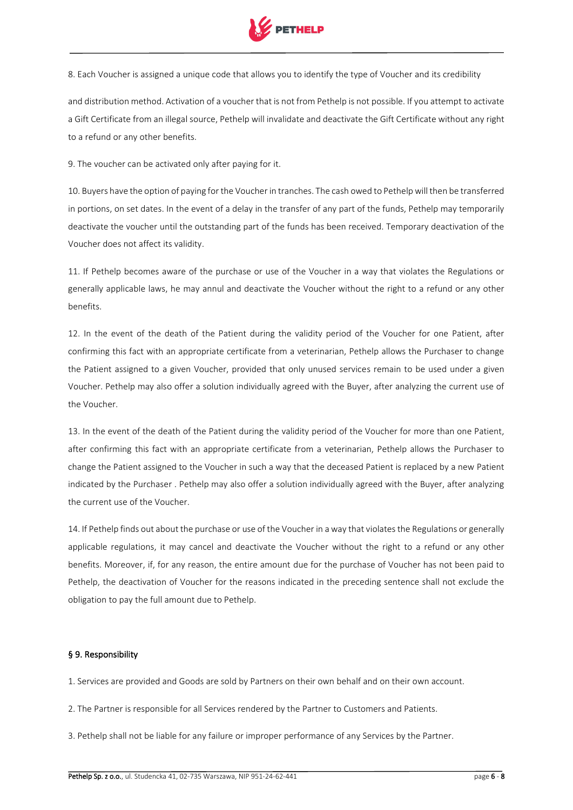

8. Each Voucher is assigned a unique code that allows you to identify the type of Voucher and its credibility

and distribution method. Activation of a voucher that is not from Pethelp is not possible. If you attempt to activate a Gift Certificate from an illegal source, Pethelp will invalidate and deactivate the Gift Certificate without any right to a refund or any other benefits.

9. The voucher can be activated only after paying for it.

10. Buyers have the option of paying for the Voucher in tranches. The cash owed to Pethelp will then be transferred in portions, on set dates. In the event of a delay in the transfer of any part of the funds, Pethelp may temporarily deactivate the voucher until the outstanding part of the funds has been received. Temporary deactivation of the Voucher does not affect its validity.

11. If Pethelp becomes aware of the purchase or use of the Voucher in a way that violates the Regulations or generally applicable laws, he may annul and deactivate the Voucher without the right to a refund or any other benefits.

12. In the event of the death of the Patient during the validity period of the Voucher for one Patient, after confirming this fact with an appropriate certificate from a veterinarian, Pethelp allows the Purchaser to change the Patient assigned to a given Voucher, provided that only unused services remain to be used under a given Voucher. Pethelp may also offer a solution individually agreed with the Buyer, after analyzing the current use of the Voucher.

13. In the event of the death of the Patient during the validity period of the Voucher for more than one Patient, after confirming this fact with an appropriate certificate from a veterinarian, Pethelp allows the Purchaser to change the Patient assigned to the Voucher in such a way that the deceased Patient is replaced by a new Patient indicated by the Purchaser . Pethelp may also offer a solution individually agreed with the Buyer, after analyzing the current use of the Voucher.

14. If Pethelp finds out about the purchase or use of the Voucher in a way that violates the Regulations or generally applicable regulations, it may cancel and deactivate the Voucher without the right to a refund or any other benefits. Moreover, if, for any reason, the entire amount due for the purchase of Voucher has not been paid to Pethelp, the deactivation of Voucher for the reasons indicated in the preceding sentence shall not exclude the obligation to pay the full amount due to Pethelp.

#### § 9. Responsibility

1. Services are provided and Goods are sold by Partners on their own behalf and on their own account.

- 2. The Partner is responsible for all Services rendered by the Partner to Customers and Patients.
- 3. Pethelp shall not be liable for any failure or improper performance of any Services by the Partner.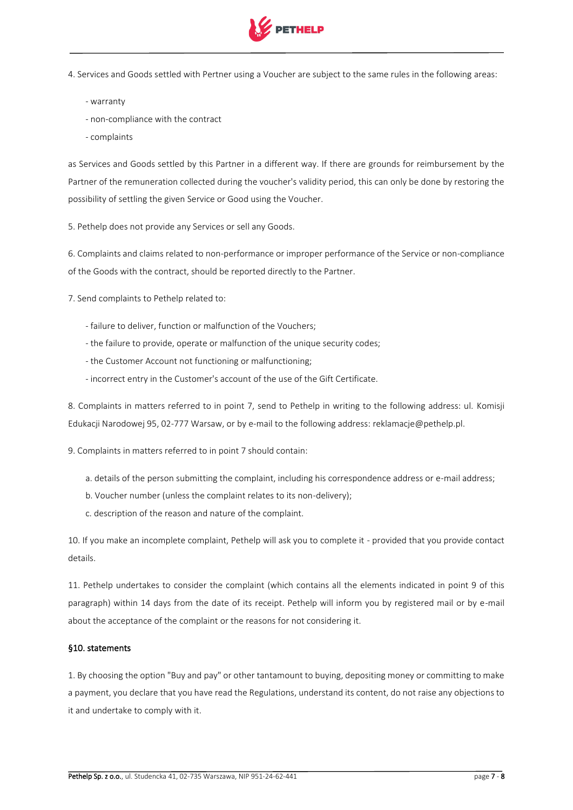

4. Services and Goods settled with Pertner using a Voucher are subject to the same rules in the following areas:

- warranty
- non-compliance with the contract
- complaints

as Services and Goods settled by this Partner in a different way. If there are grounds for reimbursement by the Partner of the remuneration collected during the voucher's validity period, this can only be done by restoring the possibility of settling the given Service or Good using the Voucher.

5. Pethelp does not provide any Services or sell any Goods.

6. Complaints and claims related to non-performance or improper performance of the Service or non-compliance of the Goods with the contract, should be reported directly to the Partner.

7. Send complaints to Pethelp related to:

- failure to deliver, function or malfunction of the Vouchers;
- the failure to provide, operate or malfunction of the unique security codes;
- the Customer Account not functioning or malfunctioning;
- incorrect entry in the Customer's account of the use of the Gift Certificate.

8. Complaints in matters referred to in point 7, send to Pethelp in writing to the following address: ul. Komisji Edukacji Narodowej 95, 02-777 Warsaw, or by e-mail to the following address: reklamacje@pethelp.pl.

9. Complaints in matters referred to in point 7 should contain:

- a. details of the person submitting the complaint, including his correspondence address or e-mail address;
- b. Voucher number (unless the complaint relates to its non-delivery);
- c. description of the reason and nature of the complaint.

10. If you make an incomplete complaint, Pethelp will ask you to complete it - provided that you provide contact details.

11. Pethelp undertakes to consider the complaint (which contains all the elements indicated in point 9 of this paragraph) within 14 days from the date of its receipt. Pethelp will inform you by registered mail or by e-mail about the acceptance of the complaint or the reasons for not considering it.

### §10. statements

1. By choosing the option "Buy and pay" or other tantamount to buying, depositing money or committing to make a payment, you declare that you have read the Regulations, understand its content, do not raise any objections to it and undertake to comply with it.